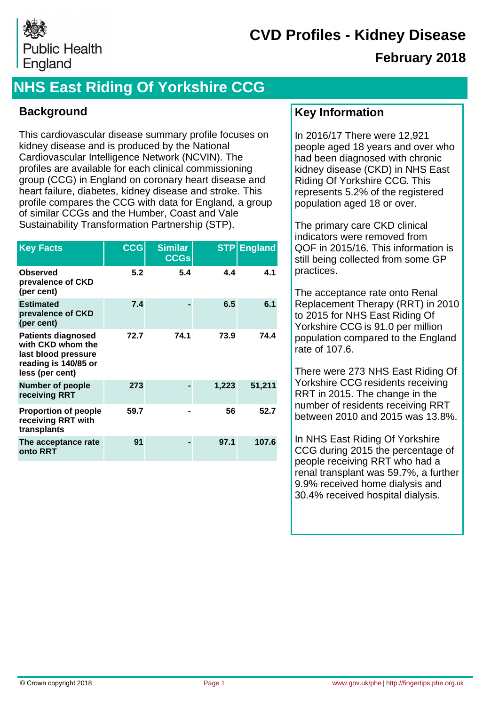

### **February 2018**

# **NHS East Riding Of Yorkshire CCG**

### **Background**

This cardiovascular disease summary profile focuses on kidney disease and is produced by the National Cardiovascular Intelligence Network (NCVIN). The profiles are available for each clinical commissioning group (CCG) in England on coronary heart disease and heart failure, diabetes, kidney disease and stroke. This profile compares the CCG with data for England, a group of similar CCGs and the Humber, Coast and Vale Sustainability Transformation Partnership (STP).

| <b>Key Facts</b>                                                                                                 | <b>CCG</b> | <b>Similar</b><br><b>CCGs</b> | <b>STP</b> | <b>England</b> |
|------------------------------------------------------------------------------------------------------------------|------------|-------------------------------|------------|----------------|
| <b>Observed</b><br>prevalence of CKD<br>(per cent)                                                               | 5.2        | 5.4                           | 4.4        | 4.1            |
| <b>Estimated</b><br>prevalence of CKD<br>(per cent)                                                              | 7.4        |                               | 6.5        | 6.1            |
| <b>Patients diagnosed</b><br>with CKD whom the<br>last blood pressure<br>reading is 140/85 or<br>less (per cent) | 72.7       | 74.1                          | 73.9       | 74.4           |
| <b>Number of people</b><br>receiving RRT                                                                         | 273        |                               | 1,223      | 51,211         |
| <b>Proportion of people</b><br>receiving RRT with<br>transplants                                                 | 59.7       |                               | 56         | 52.7           |
| The acceptance rate<br>onto RRT                                                                                  | 91         |                               | 97.1       | 107.6          |

### **Key Information**

In 2016/17 There were 12,921 people aged 18 years and over who had been diagnosed with chronic kidney disease (CKD) in NHS East Riding Of Yorkshire CCG. This represents 5.2% of the registered population aged 18 or over.

The primary care CKD clinical indicators were removed from QOF in 2015/16. This information is still being collected from some GP practices.

The acceptance rate onto Renal Replacement Therapy (RRT) in 2010 to 2015 for NHS East Riding Of Yorkshire CCG is 91.0 per million population compared to the England rate of 107.6.

There were 273 NHS East Riding Of Yorkshire CCG residents receiving RRT in 2015. The change in the number of residents receiving RRT between 2010 and 2015 was 13.8%.

In NHS East Riding Of Yorkshire CCG during 2015 the percentage of people receiving RRT who had a renal transplant was 59.7%, a further 9.9% received home dialysis and 30.4% received hospital dialysis.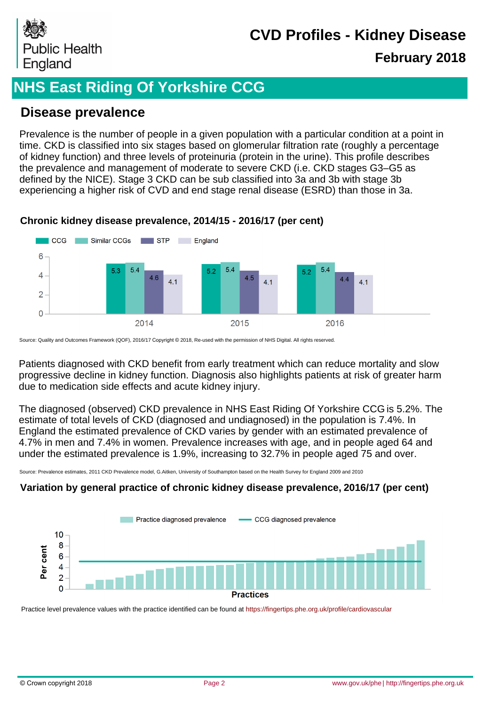

### **February 2018**

## **NHS East Riding Of Yorkshire CCG**

### **Disease prevalence**

Prevalence is the number of people in a given population with a particular condition at a point in time. CKD is classified into six stages based on glomerular filtration rate (roughly a percentage of kidney function) and three levels of proteinuria (protein in the urine). This profile describes the prevalence and management of moderate to severe CKD (i.e. CKD stages G3–G5 as defined by the NICE). Stage 3 CKD can be sub classified into 3a and 3b with stage 3b experiencing a higher risk of CVD and end stage renal disease (ESRD) than those in 3a.



#### **Chronic kidney disease prevalence, 2014/15 - 2016/17 (per cent)**

Source: Quality and Outcomes Framework (QOF), 2016/17 Copyright © 2018, Re-used with the permission of NHS Digital. All rights reserved.

Patients diagnosed with CKD benefit from early treatment which can reduce mortality and slow progressive decline in kidney function. Diagnosis also highlights patients at risk of greater harm due to medication side effects and acute kidney injury.

The diagnosed (observed) CKD prevalence in NHS East Riding Of Yorkshire CCG is 5.2%. The estimate of total levels of CKD (diagnosed and undiagnosed) in the population is 7.4%. In England the estimated prevalence of CKD varies by gender with an estimated prevalence of 4.7% in men and 7.4% in women. Prevalence increases with age, and in people aged 64 and under the estimated prevalence is 1.9%, increasing to 32.7% in people aged 75 and over.

Source: Prevalence estimates, 2011 CKD Prevalence model, G.Aitken, University of Southampton based on the Health Survey for England 2009 and 2010

#### **Variation by general practice of chronic kidney disease prevalence, 2016/17 (per cent)**



Practice level prevalence values with the practice identified can be found at https://fingertips.phe.org.uk/profile/cardiovascular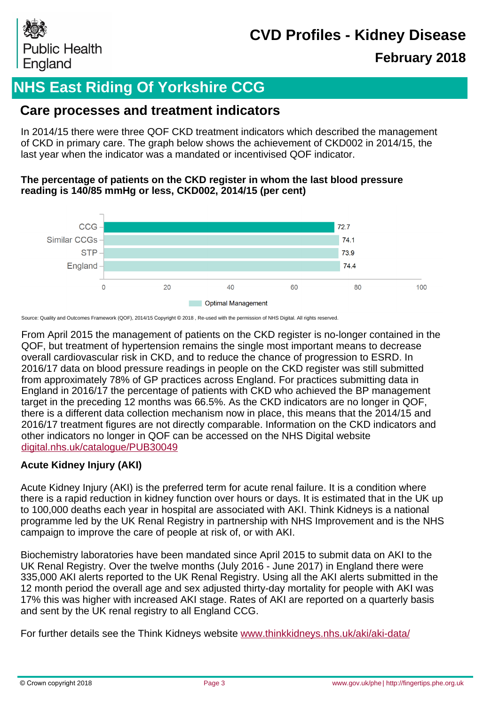

### **February 2018**

# **NHS East Riding Of Yorkshire CCG**

### **Care processes and treatment indicators**

In 2014/15 there were three QOF CKD treatment indicators which described the management of CKD in primary care. The graph below shows the achievement of CKD002 in 2014/15, the last year when the indicator was a mandated or incentivised QOF indicator.

#### **The percentage of patients on the CKD register in whom the last blood pressure reading is 140/85 mmHg or less, CKD002, 2014/15 (per cent)**



Source: Quality and Outcomes Framework (QOF), 2014/15 Copyright © 2018 , Re-used with the permission of NHS Digital. All rights reserved.

From April 2015 the management of patients on the CKD register is no-longer contained in the QOF, but treatment of hypertension remains the single most important means to decrease overall cardiovascular risk in CKD, and to reduce the chance of progression to ESRD. In 2016/17 data on blood pressure readings in people on the CKD register was still submitted from approximately 78% of GP practices across England. For practices submitting data in England in 2016/17 the percentage of patients with CKD who achieved the BP management target in the preceding 12 months was 66.5%. As the CKD indicators are no longer in QOF, there is a different data collection mechanism now in place, this means that the 2014/15 and 2016/17 treatment figures are not directly comparable. Information on the CKD indicators and other indicators no longer in QOF can be accessed on the NHS Digital website [digital.nhs.uk/catalogue/PUB30049](https://digital.nhs.uk/catalogue/PUB30049)

#### **Acute Kidney Injury (AKI)**

Acute Kidney Injury (AKI) is the preferred term for acute renal failure. It is a condition where there is a rapid reduction in kidney function over hours or days. It is estimated that in the UK up to 100,000 deaths each year in hospital are associated with AKI. Think Kidneys is a national programme led by the UK Renal Registry in partnership with NHS Improvement and is the NHS campaign to improve the care of people at risk of, or with AKI.

Biochemistry laboratories have been mandated since April 2015 to submit data on AKI to the UK Renal Registry. Over the twelve months (July 2016 - June 2017) in England there were 335,000 AKI alerts reported to the UK Renal Registry. Using all the AKI alerts submitted in the 12 month period the overall age and sex adjusted thirty-day mortality for people with AKI was 17% this was higher with increased AKI stage. Rates of AKI are reported on a quarterly basis and sent by the UK renal registry to all England CCG.

For further details see the Think Kidneys website [www.thinkkidneys.nhs.uk/aki/aki-data/](https://www.thinkkidneys.nhs.uk/aki/aki-data/)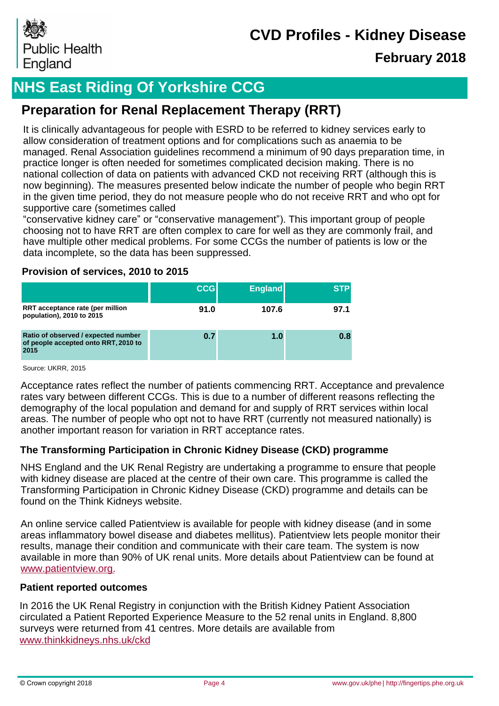

### **February 2018**

# **NHS East Riding Of Yorkshire CCG**

### **Preparation for Renal Replacement Therapy (RRT)**

It is clinically advantageous for people with ESRD to be referred to kidney services early to allow consideration of treatment options and for complications such as anaemia to be managed. Renal Association guidelines recommend a minimum of 90 days preparation time, in practice longer is often needed for sometimes complicated decision making. There is no national collection of data on patients with advanced CKD not receiving RRT (although this is now beginning). The measures presented below indicate the number of people who begin RRT in the given time period, they do not measure people who do not receive RRT and who opt for supportive care (sometimes called

"conservative kidney care" or "conservative management"). This important group of people choosing not to have RRT are often complex to care for well as they are commonly frail, and have multiple other medical problems. For some CCGs the number of patients is low or the data incomplete, so the data has been suppressed.

#### **Provision of services, 2010 to 2015**

|                                                                                     | <b>CCG</b> | <b>England</b> | <b>STP</b> |
|-------------------------------------------------------------------------------------|------------|----------------|------------|
| RRT acceptance rate (per million<br>population), 2010 to 2015                       | 91.0       | 107.6          | 97.1       |
| Ratio of observed / expected number<br>of people accepted onto RRT, 2010 to<br>2015 | 0.7        | 1.0            | 0.8        |

Source: UKRR, 2015

Acceptance rates reflect the number of patients commencing RRT. Acceptance and prevalence rates vary between different CCGs. This is due to a number of different reasons reflecting the demography of the local population and demand for and supply of RRT services within local areas. The number of people who opt not to have RRT (currently not measured nationally) is another important reason for variation in RRT acceptance rates.

#### **The Transforming Participation in Chronic Kidney Disease (CKD) programme**

NHS England and the UK Renal Registry are undertaking a programme to ensure that people with kidney disease are placed at the centre of their own care. This programme is called the Transforming Participation in Chronic Kidney Disease (CKD) programme and details can be found on the Think Kidneys website.

An online service called Patientview is available for people with kidney disease (and in some areas inflammatory bowel disease and diabetes mellitus). Patientview lets people monitor their results, manage their condition and communicate with their care team. The system is now available in more than 90% of UK renal units. More details about Patientview can be found at www.patientview.org.

#### **Patient reported outcomes**

In 2016 the UK Renal Registry in conjunction with the British Kidney Patient Association circulated a Patient Reported Experience Measure to the 52 renal units in England. 8,800 surveys were returned from 41 centres. More details are available from [www.thinkkidneys.nhs.uk/ckd](http://www.thinkkidneys.nhs.uk/ckd)